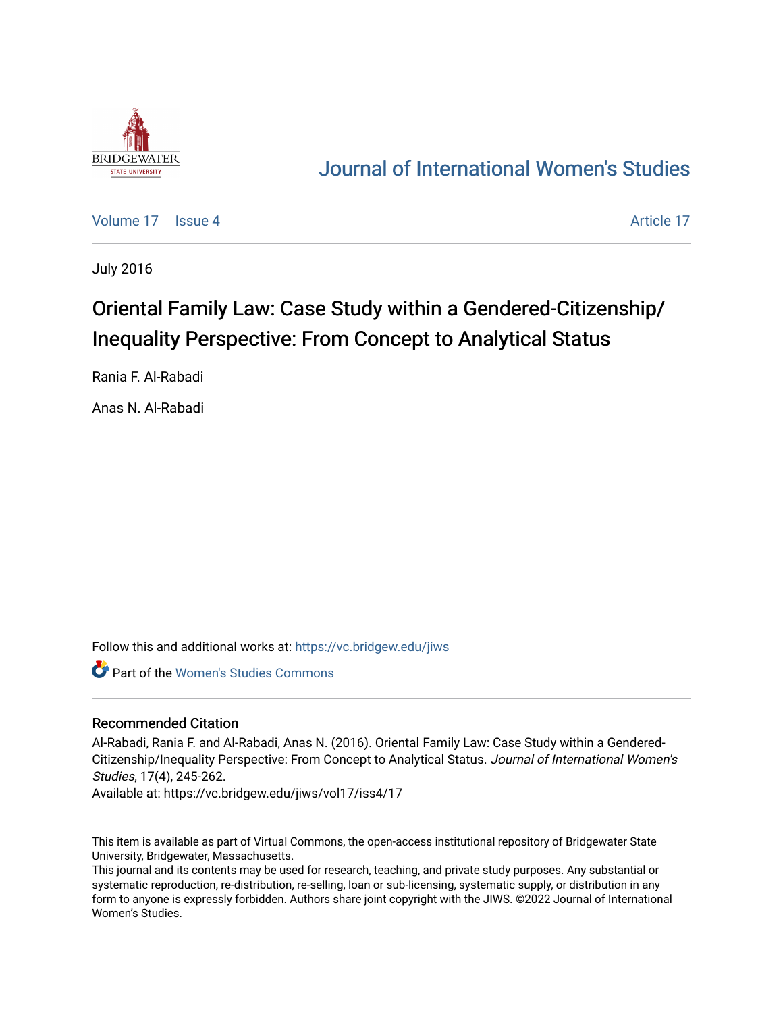

## [Journal of International Women's Studies](https://vc.bridgew.edu/jiws)

[Volume 17](https://vc.bridgew.edu/jiws/vol17) | [Issue 4](https://vc.bridgew.edu/jiws/vol17/iss4) Article 17

July 2016

# Oriental Family Law: Case Study within a Gendered-Citizenship/ Inequality Perspective: From Concept to Analytical Status

Rania F. Al-Rabadi

Anas N. Al-Rabadi

Follow this and additional works at: [https://vc.bridgew.edu/jiws](https://vc.bridgew.edu/jiws?utm_source=vc.bridgew.edu%2Fjiws%2Fvol17%2Fiss4%2F17&utm_medium=PDF&utm_campaign=PDFCoverPages)

Part of the [Women's Studies Commons](http://network.bepress.com/hgg/discipline/561?utm_source=vc.bridgew.edu%2Fjiws%2Fvol17%2Fiss4%2F17&utm_medium=PDF&utm_campaign=PDFCoverPages) 

#### Recommended Citation

Al-Rabadi, Rania F. and Al-Rabadi, Anas N. (2016). Oriental Family Law: Case Study within a Gendered-Citizenship/Inequality Perspective: From Concept to Analytical Status. Journal of International Women's Studies, 17(4), 245-262.

Available at: https://vc.bridgew.edu/jiws/vol17/iss4/17

This item is available as part of Virtual Commons, the open-access institutional repository of Bridgewater State University, Bridgewater, Massachusetts.

This journal and its contents may be used for research, teaching, and private study purposes. Any substantial or systematic reproduction, re-distribution, re-selling, loan or sub-licensing, systematic supply, or distribution in any form to anyone is expressly forbidden. Authors share joint copyright with the JIWS. ©2022 Journal of International Women's Studies.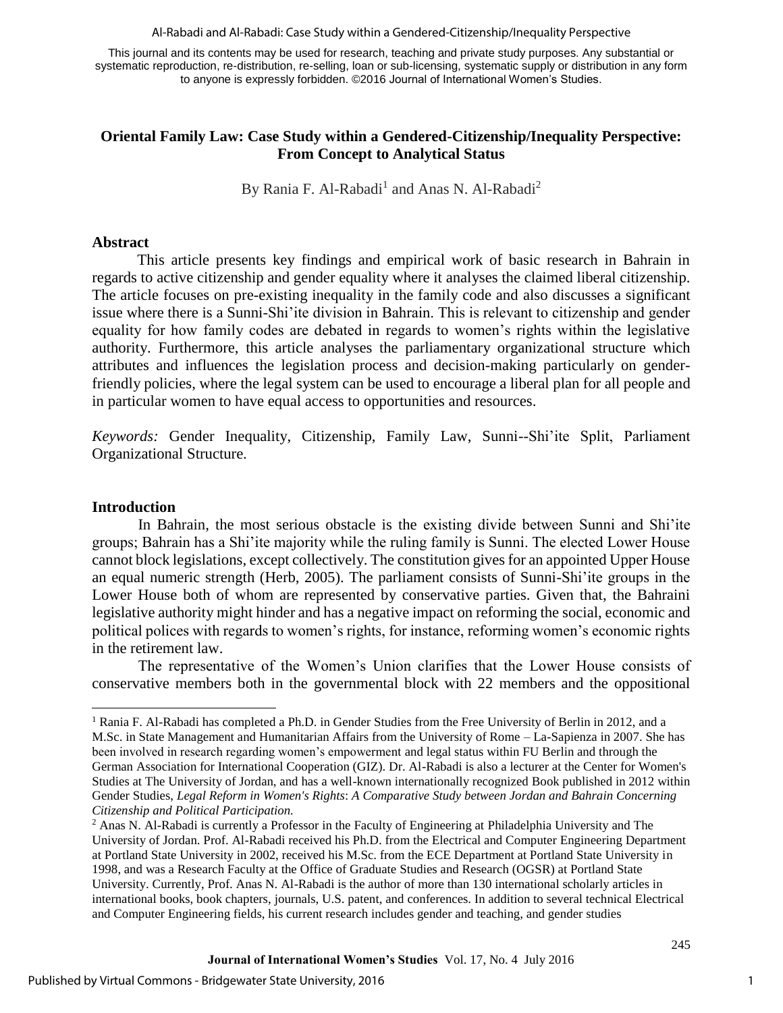Al-Rabadi and Al-Rabadi: Case Study within a Gendered-Citizenship/Inequality Perspective

This journal and its contents may be used for research, teaching and private study purposes. Any substantial or systematic reproduction, re-distribution, re-selling, loan or sub-licensing, systematic supply or distribution in any form to anyone is expressly forbidden. ©2016 Journal of International Women's Studies.

## **Oriental Family Law: Case Study within a Gendered-Citizenship/Inequality Perspective: From Concept to Analytical Status**

By Rania F. Al-Rabadi<sup>1</sup> and Anas N. Al-Rabadi<sup>2</sup>

## **Abstract**

This article presents key findings and empirical work of basic research in Bahrain in regards to active citizenship and gender equality where it analyses the claimed liberal citizenship. The article focuses on pre-existing inequality in the family code and also discusses a significant issue where there is a Sunni-Shi'ite division in Bahrain. This is relevant to citizenship and gender equality for how family codes are debated in regards to women's rights within the legislative authority. Furthermore, this article analyses the parliamentary organizational structure which attributes and influences the legislation process and decision-making particularly on genderfriendly policies, where the legal system can be used to encourage a liberal plan for all people and in particular women to have equal access to opportunities and resources.

*Keywords:* Gender Inequality, Citizenship, Family Law, Sunni--Shi'ite Split, Parliament Organizational Structure.

## **Introduction**

 $\overline{a}$ 

In Bahrain, the most serious obstacle is the existing divide between Sunni and Shi'ite groups; Bahrain has a Shi'ite majority while the ruling family is Sunni. The elected Lower House cannot block legislations, except collectively. The constitution gives for an appointed Upper House an equal numeric strength (Herb, 2005). The parliament consists of Sunni-Shi'ite groups in the Lower House both of whom are represented by conservative parties. Given that, the Bahraini legislative authority might hinder and has a negative impact on reforming the social, economic and political polices with regards to women's rights, for instance, reforming women's economic rights in the retirement law.

The representative of the Women's Union clarifies that the Lower House consists of conservative members both in the governmental block with 22 members and the oppositional

<sup>&</sup>lt;sup>1</sup> Rania F. Al-Rabadi has completed a Ph.D. in Gender Studies from the Free University of Berlin in 2012, and a M.Sc. in State Management and Humanitarian Affairs from the University of Rome – La-Sapienza in 2007. She has been involved in research regarding women's empowerment and legal status within FU Berlin and through the German Association for International Cooperation (GIZ). Dr. Al-Rabadi is also a lecturer at the Center for Women's Studies at The University of Jordan, and has a well-known internationally recognized Book published in 2012 within Gender Studies, *Legal Reform in Women's Rights*: *A Comparative Study between Jordan and Bahrain Concerning Citizenship and Political Participation.* 

<sup>&</sup>lt;sup>2</sup> Anas N. Al-Rabadi is currently a Professor in the Faculty of Engineering at Philadelphia University and The University of Jordan. Prof. Al-Rabadi received his Ph.D. from the Electrical and Computer Engineering Department at Portland State University in 2002, received his M.Sc. from the ECE Department at Portland State University in 1998, and was a Research Faculty at the Office of Graduate Studies and Research (OGSR) at Portland State University. Currently, Prof. Anas N. Al-Rabadi is the author of more than 130 international scholarly articles in international books, book chapters, journals, U.S. patent, and conferences. In addition to several technical Electrical and Computer Engineering fields, his current research includes gender and teaching, and gender studies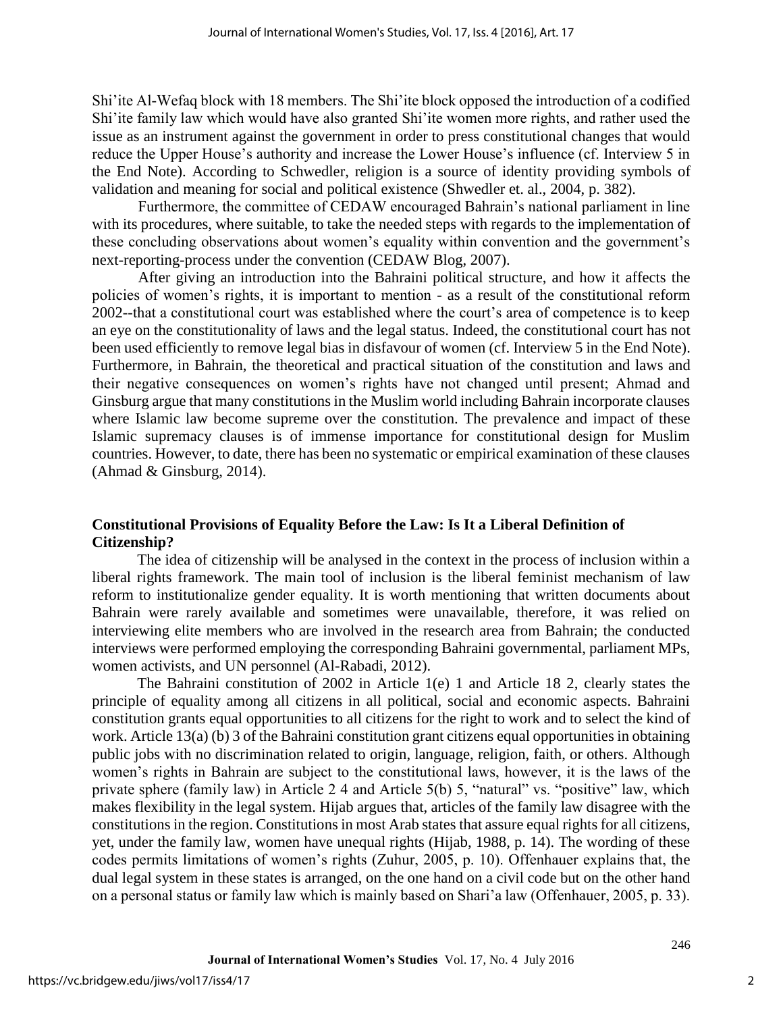Shi'ite Al-Wefaq block with 18 members. The Shi'ite block opposed the introduction of a codified Shi'ite family law which would have also granted Shi'ite women more rights, and rather used the issue as an instrument against the government in order to press constitutional changes that would reduce the Upper House's authority and increase the Lower House's influence (cf. Interview 5 in the End Note). According to Schwedler, religion is a source of identity providing symbols of validation and meaning for social and political existence (Shwedler et. al., 2004, p. 382).

Furthermore, the committee of CEDAW encouraged Bahrain's national parliament in line with its procedures, where suitable, to take the needed steps with regards to the implementation of these concluding observations about women's equality within convention and the government's next-reporting-process under the convention (CEDAW Blog, 2007).

After giving an introduction into the Bahraini political structure, and how it affects the policies of women's rights, it is important to mention - as a result of the constitutional reform 2002--that a constitutional court was established where the court's area of competence is to keep an eye on the constitutionality of laws and the legal status. Indeed, the constitutional court has not been used efficiently to remove legal bias in disfavour of women (cf. Interview 5 in the End Note). Furthermore, in Bahrain, the theoretical and practical situation of the constitution and laws and their negative consequences on women's rights have not changed until present; Ahmad and Ginsburg argue that many constitutions in the Muslim world including Bahrain incorporate clauses where Islamic law become supreme over the constitution. The prevalence and impact of these Islamic supremacy clauses is of immense importance for constitutional design for Muslim countries. However, to date, there has been no systematic or empirical examination of these clauses (Ahmad & Ginsburg, 2014).

## **Constitutional Provisions of Equality Before the Law: Is It a Liberal Definition of Citizenship?**

The idea of citizenship will be analysed in the context in the process of inclusion within a liberal rights framework. The main tool of inclusion is the liberal feminist mechanism of law reform to institutionalize gender equality. It is worth mentioning that written documents about Bahrain were rarely available and sometimes were unavailable, therefore, it was relied on interviewing elite members who are involved in the research area from Bahrain; the conducted interviews were performed employing the corresponding Bahraini governmental, parliament MPs, women activists, and UN personnel (Al-Rabadi, 2012).

The Bahraini constitution of 2002 in Article 1(e) 1 and Article 18 2, clearly states the principle of equality among all citizens in all political, social and economic aspects. Bahraini constitution grants equal opportunities to all citizens for the right to work and to select the kind of work. Article 13(a) (b) 3 of the Bahraini constitution grant citizens equal opportunities in obtaining public jobs with no discrimination related to origin, language, religion, faith, or others. Although women's rights in Bahrain are subject to the constitutional laws, however, it is the laws of the private sphere (family law) in Article 2 4 and Article 5(b) 5, "natural" vs. "positive" law, which makes flexibility in the legal system. Hijab argues that, articles of the family law disagree with the constitutions in the region. Constitutions in most Arab states that assure equal rights for all citizens, yet, under the family law, women have unequal rights (Hijab, 1988, p. 14). The wording of these codes permits limitations of women's rights (Zuhur, 2005, p. 10). Offenhauer explains that, the dual legal system in these states is arranged, on the one hand on a civil code but on the other hand on a personal status or family law which is mainly based on Shari'a law (Offenhauer, 2005, p. 33).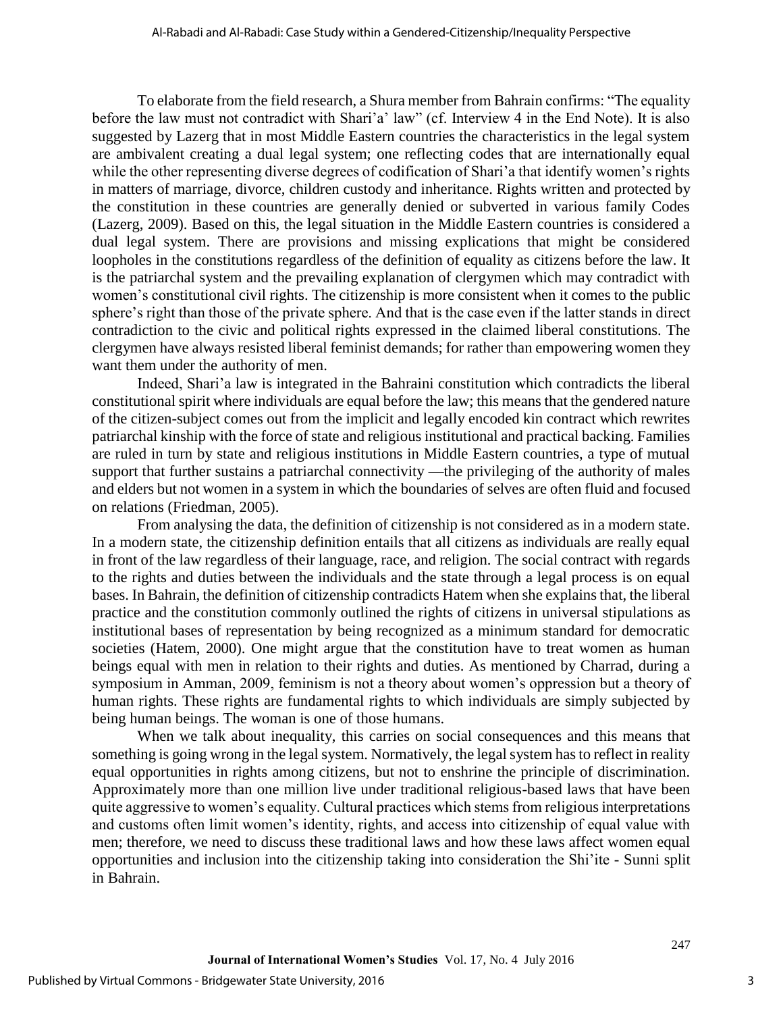To elaborate from the field research, a Shura member from Bahrain confirms: "The equality before the law must not contradict with Shari'a' law" (cf. Interview 4 in the End Note). It is also suggested by Lazerg that in most Middle Eastern countries the characteristics in the legal system are ambivalent creating a dual legal system; one reflecting codes that are internationally equal while the other representing diverse degrees of codification of Shari'a that identify women's rights in matters of marriage, divorce, children custody and inheritance. Rights written and protected by the constitution in these countries are generally denied or subverted in various family Codes (Lazerg, 2009). Based on this, the legal situation in the Middle Eastern countries is considered a dual legal system. There are provisions and missing explications that might be considered loopholes in the constitutions regardless of the definition of equality as citizens before the law. It is the patriarchal system and the prevailing explanation of clergymen which may contradict with women's constitutional civil rights. The citizenship is more consistent when it comes to the public sphere's right than those of the private sphere. And that is the case even if the latter stands in direct contradiction to the civic and political rights expressed in the claimed liberal constitutions. The clergymen have always resisted liberal feminist demands; for rather than empowering women they want them under the authority of men.

Indeed, Shari'a law is integrated in the Bahraini constitution which contradicts the liberal constitutional spirit where individuals are equal before the law; this means that the gendered nature of the citizen-subject comes out from the implicit and legally encoded kin contract which rewrites patriarchal kinship with the force of state and religious institutional and practical backing. Families are ruled in turn by state and religious institutions in Middle Eastern countries, a type of mutual support that further sustains a patriarchal connectivity —the privileging of the authority of males and elders but not women in a system in which the boundaries of selves are often fluid and focused on relations (Friedman, 2005).

From analysing the data, the definition of citizenship is not considered as in a modern state. In a modern state, the citizenship definition entails that all citizens as individuals are really equal in front of the law regardless of their language, race, and religion. The social contract with regards to the rights and duties between the individuals and the state through a legal process is on equal bases. In Bahrain, the definition of citizenship contradicts Hatem when she explains that, the liberal practice and the constitution commonly outlined the rights of citizens in universal stipulations as institutional bases of representation by being recognized as a minimum standard for democratic societies (Hatem, 2000). One might argue that the constitution have to treat women as human beings equal with men in relation to their rights and duties. As mentioned by Charrad, during a symposium in Amman, 2009, feminism is not a theory about women's oppression but a theory of human rights. These rights are fundamental rights to which individuals are simply subjected by being human beings. The woman is one of those humans.

When we talk about inequality, this carries on social consequences and this means that something is going wrong in the legal system. Normatively, the legal system has to reflect in reality equal opportunities in rights among citizens, but not to enshrine the principle of discrimination. Approximately more than one million live under traditional religious-based laws that have been quite aggressive to women's equality. Cultural practices which stems from religious interpretations and customs often limit women's identity, rights, and access into citizenship of equal value with men; therefore, we need to discuss these traditional laws and how these laws affect women equal opportunities and inclusion into the citizenship taking into consideration the Shi'ite - Sunni split in Bahrain.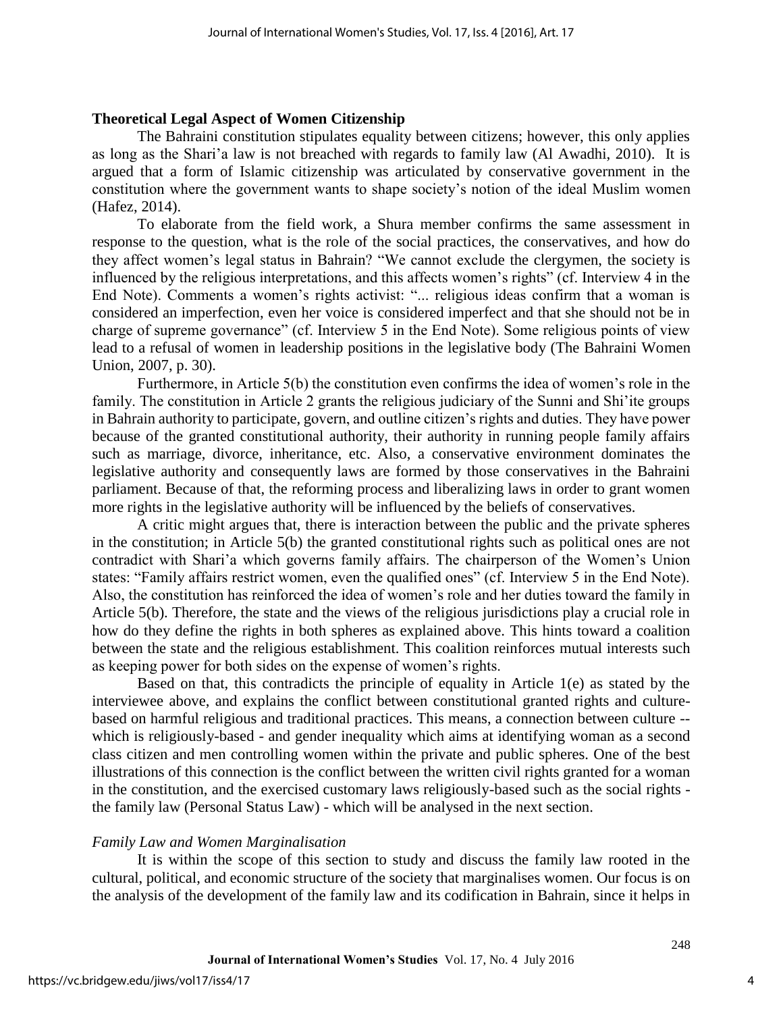## **Theoretical Legal Aspect of Women Citizenship**

The Bahraini constitution stipulates equality between citizens; however, this only applies as long as the Shari'a law is not breached with regards to family law (Al Awadhi, 2010). It is argued that a form of Islamic citizenship was articulated by conservative government in the constitution where the government wants to shape society's notion of the ideal Muslim women (Hafez, 2014).

To elaborate from the field work, a Shura member confirms the same assessment in response to the question, what is the role of the social practices, the conservatives, and how do they affect women's legal status in Bahrain? "We cannot exclude the clergymen, the society is influenced by the religious interpretations, and this affects women's rights" (cf. Interview 4 in the End Note). Comments a women's rights activist: "... religious ideas confirm that a woman is considered an imperfection, even her voice is considered imperfect and that she should not be in charge of supreme governance" (cf. Interview 5 in the End Note). Some religious points of view lead to a refusal of women in leadership positions in the legislative body (The Bahraini Women Union, 2007, p. 30).

Furthermore, in Article 5(b) the constitution even confirms the idea of women's role in the family. The constitution in Article 2 grants the religious judiciary of the Sunni and Shi'ite groups in Bahrain authority to participate, govern, and outline citizen's rights and duties. They have power because of the granted constitutional authority, their authority in running people family affairs such as marriage, divorce, inheritance, etc. Also, a conservative environment dominates the legislative authority and consequently laws are formed by those conservatives in the Bahraini parliament. Because of that, the reforming process and liberalizing laws in order to grant women more rights in the legislative authority will be influenced by the beliefs of conservatives.

A critic might argues that, there is interaction between the public and the private spheres in the constitution; in Article 5(b) the granted constitutional rights such as political ones are not contradict with Shari'a which governs family affairs. The chairperson of the Women's Union states: "Family affairs restrict women, even the qualified ones" (cf. Interview 5 in the End Note). Also, the constitution has reinforced the idea of women's role and her duties toward the family in Article 5(b). Therefore, the state and the views of the religious jurisdictions play a crucial role in how do they define the rights in both spheres as explained above. This hints toward a coalition between the state and the religious establishment. This coalition reinforces mutual interests such as keeping power for both sides on the expense of women's rights.

Based on that, this contradicts the principle of equality in Article 1(e) as stated by the interviewee above, and explains the conflict between constitutional granted rights and culturebased on harmful religious and traditional practices. This means, a connection between culture - which is religiously-based - and gender inequality which aims at identifying woman as a second class citizen and men controlling women within the private and public spheres. One of the best illustrations of this connection is the conflict between the written civil rights granted for a woman in the constitution, and the exercised customary laws religiously-based such as the social rights the family law (Personal Status Law) - which will be analysed in the next section.

#### *Family Law and Women Marginalisation*

It is within the scope of this section to study and discuss the family law rooted in the cultural, political, and economic structure of the society that marginalises women. Our focus is on the analysis of the development of the family law and its codification in Bahrain, since it helps in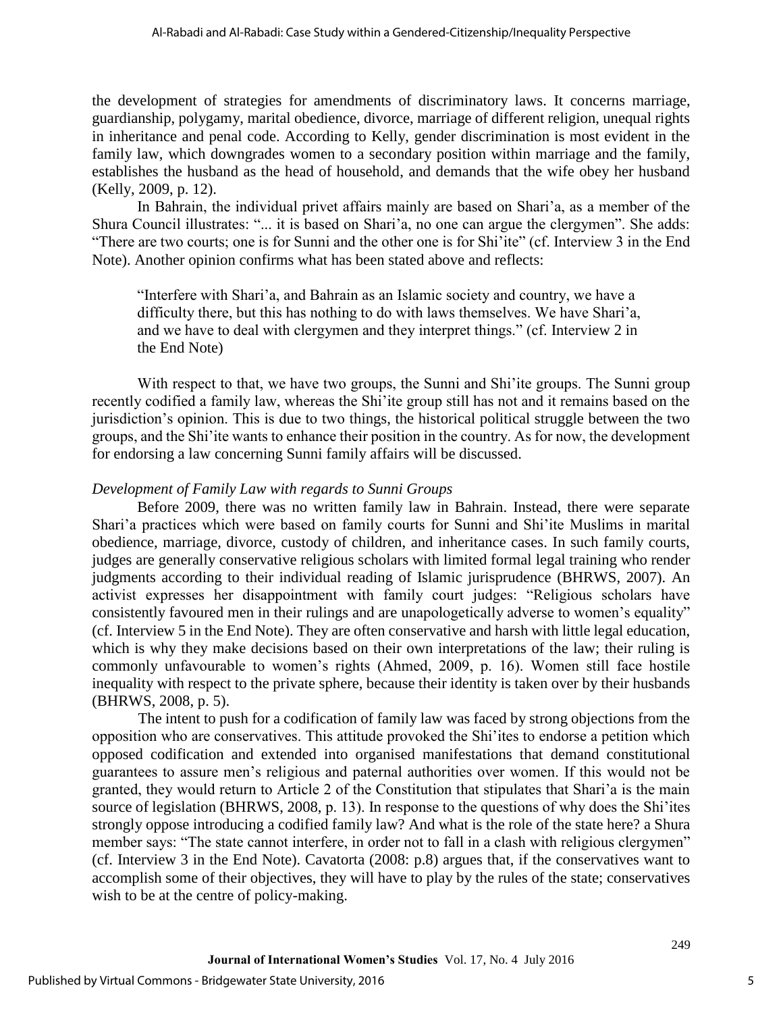the development of strategies for amendments of discriminatory laws. It concerns marriage, guardianship, polygamy, marital obedience, divorce, marriage of different religion, unequal rights in inheritance and penal code. According to Kelly, gender discrimination is most evident in the family law, which downgrades women to a secondary position within marriage and the family, establishes the husband as the head of household, and demands that the wife obey her husband (Kelly, 2009, p. 12).

In Bahrain, the individual privet affairs mainly are based on Shari'a, as a member of the Shura Council illustrates: "... it is based on Shari'a, no one can argue the clergymen". She adds: "There are two courts; one is for Sunni and the other one is for Shi'ite" (cf. Interview 3 in the End Note). Another opinion confirms what has been stated above and reflects:

"Interfere with Shari'a, and Bahrain as an Islamic society and country, we have a difficulty there, but this has nothing to do with laws themselves. We have Shari'a, and we have to deal with clergymen and they interpret things." (cf. Interview 2 in the End Note)

With respect to that, we have two groups, the Sunni and Shi'ite groups. The Sunni group recently codified a family law, whereas the Shi'ite group still has not and it remains based on the jurisdiction's opinion. This is due to two things, the historical political struggle between the two groups, and the Shi'ite wants to enhance their position in the country. As for now, the development for endorsing a law concerning Sunni family affairs will be discussed.

## *Development of Family Law with regards to Sunni Groups*

Before 2009, there was no written family law in Bahrain. Instead, there were separate Shari'a practices which were based on family courts for Sunni and Shi'ite Muslims in marital obedience, marriage, divorce, custody of children, and inheritance cases. In such family courts, judges are generally conservative religious scholars with limited formal legal training who render judgments according to their individual reading of Islamic jurisprudence (BHRWS, 2007). An activist expresses her disappointment with family court judges: "Religious scholars have consistently favoured men in their rulings and are unapologetically adverse to women's equality" (cf. Interview 5 in the End Note). They are often conservative and harsh with little legal education, which is why they make decisions based on their own interpretations of the law; their ruling is commonly unfavourable to women's rights (Ahmed, 2009, p. 16). Women still face hostile inequality with respect to the private sphere, because their identity is taken over by their husbands (BHRWS, 2008, p. 5).

The intent to push for a codification of family law was faced by strong objections from the opposition who are conservatives. This attitude provoked the Shi'ites to endorse a petition which opposed codification and extended into organised manifestations that demand constitutional guarantees to assure men's religious and paternal authorities over women. If this would not be granted, they would return to Article 2 of the Constitution that stipulates that Shari'a is the main source of legislation (BHRWS, 2008, p. 13). In response to the questions of why does the Shi'ites strongly oppose introducing a codified family law? And what is the role of the state here? a Shura member says: "The state cannot interfere, in order not to fall in a clash with religious clergymen" (cf. Interview 3 in the End Note). Cavatorta (2008: p.8) argues that, if the conservatives want to accomplish some of their objectives, they will have to play by the rules of the state; conservatives wish to be at the centre of policy-making.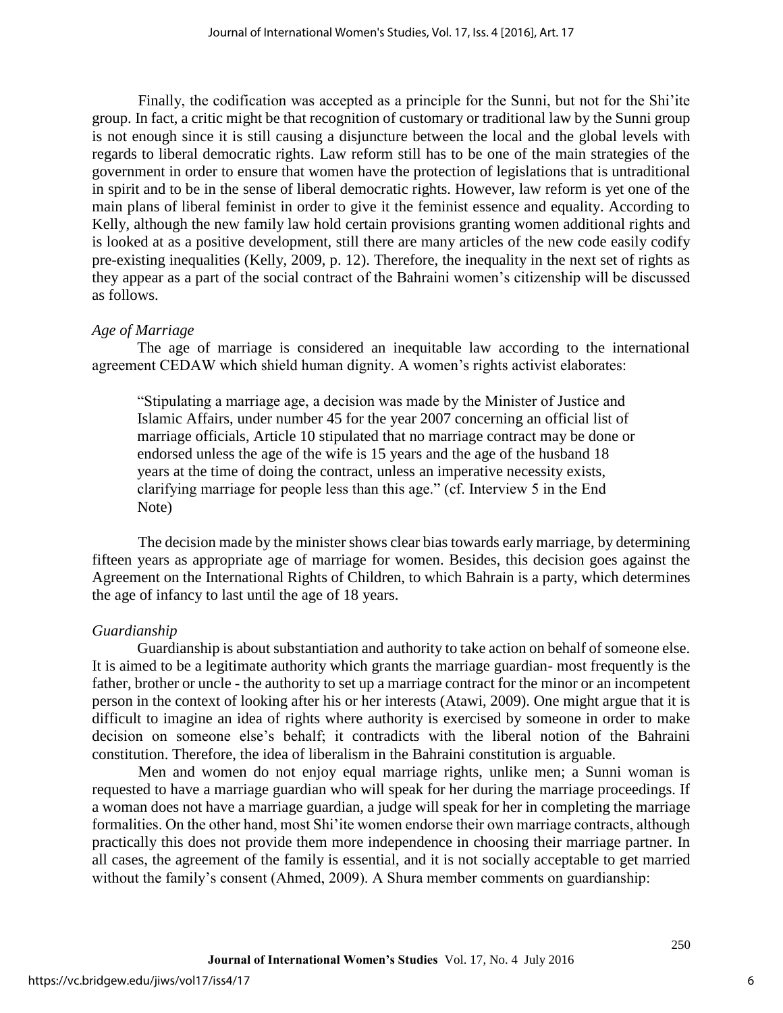Finally, the codification was accepted as a principle for the Sunni, but not for the Shi'ite group. In fact, a critic might be that recognition of customary or traditional law by the Sunni group is not enough since it is still causing a disjuncture between the local and the global levels with regards to liberal democratic rights. Law reform still has to be one of the main strategies of the government in order to ensure that women have the protection of legislations that is untraditional in spirit and to be in the sense of liberal democratic rights. However, law reform is yet one of the main plans of liberal feminist in order to give it the feminist essence and equality. According to Kelly, although the new family law hold certain provisions granting women additional rights and is looked at as a positive development, still there are many articles of the new code easily codify pre-existing inequalities (Kelly, 2009, p. 12). Therefore, the inequality in the next set of rights as they appear as a part of the social contract of the Bahraini women's citizenship will be discussed as follows.

## *Age of Marriage*

The age of marriage is considered an inequitable law according to the international agreement CEDAW which shield human dignity. A women's rights activist elaborates:

"Stipulating a marriage age, a decision was made by the Minister of Justice and Islamic Affairs, under number 45 for the year 2007 concerning an official list of marriage officials, Article 10 stipulated that no marriage contract may be done or endorsed unless the age of the wife is 15 years and the age of the husband 18 years at the time of doing the contract, unless an imperative necessity exists, clarifying marriage for people less than this age." (cf. Interview 5 in the End Note)

The decision made by the minister shows clear bias towards early marriage, by determining fifteen years as appropriate age of marriage for women. Besides, this decision goes against the Agreement on the International Rights of Children, to which Bahrain is a party, which determines the age of infancy to last until the age of 18 years.

## *Guardianship*

Guardianship is about substantiation and authority to take action on behalf of someone else. It is aimed to be a legitimate authority which grants the marriage guardian- most frequently is the father, brother or uncle - the authority to set up a marriage contract for the minor or an incompetent person in the context of looking after his or her interests (Atawi, 2009). One might argue that it is difficult to imagine an idea of rights where authority is exercised by someone in order to make decision on someone else's behalf; it contradicts with the liberal notion of the Bahraini constitution. Therefore, the idea of liberalism in the Bahraini constitution is arguable.

Men and women do not enjoy equal marriage rights, unlike men; a Sunni woman is requested to have a marriage guardian who will speak for her during the marriage proceedings. If a woman does not have a marriage guardian, a judge will speak for her in completing the marriage formalities. On the other hand, most Shi'ite women endorse their own marriage contracts, although practically this does not provide them more independence in choosing their marriage partner. In all cases, the agreement of the family is essential, and it is not socially acceptable to get married without the family's consent (Ahmed, 2009). A Shura member comments on guardianship: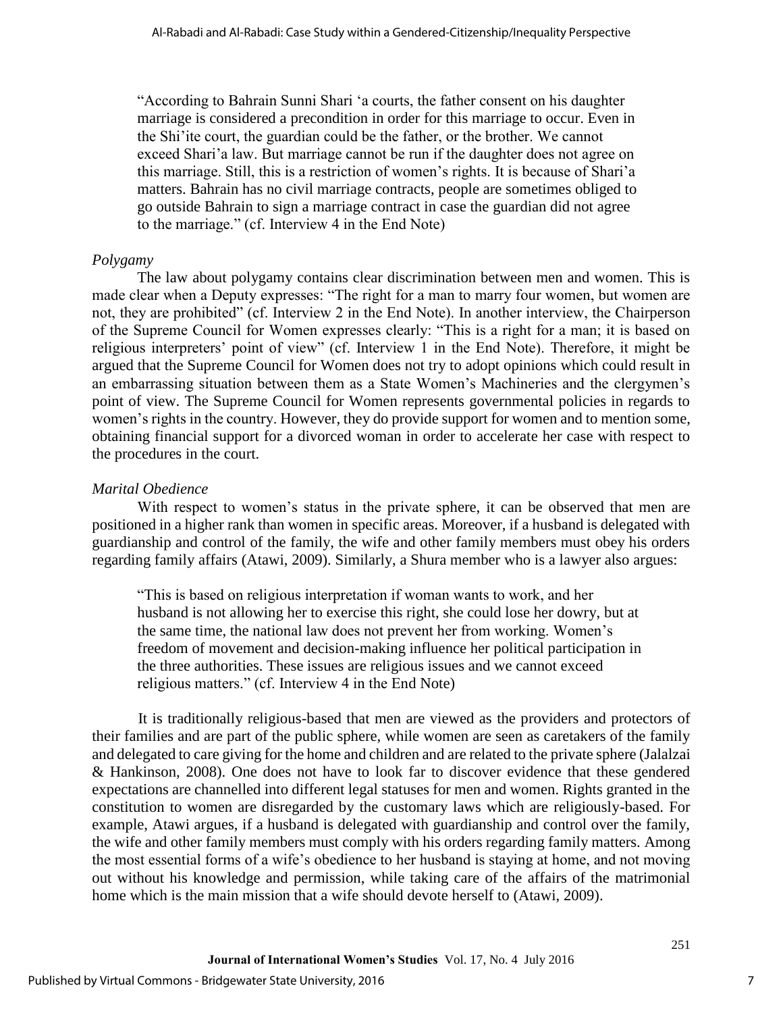"According to Bahrain Sunni Shari 'a courts, the father consent on his daughter marriage is considered a precondition in order for this marriage to occur. Even in the Shi'ite court, the guardian could be the father, or the brother. We cannot exceed Shari'a law. But marriage cannot be run if the daughter does not agree on this marriage. Still, this is a restriction of women's rights. It is because of Shari'a matters. Bahrain has no civil marriage contracts, people are sometimes obliged to go outside Bahrain to sign a marriage contract in case the guardian did not agree to the marriage." (cf. Interview 4 in the End Note)

#### *Polygamy*

The law about polygamy contains clear discrimination between men and women. This is made clear when a Deputy expresses: "The right for a man to marry four women, but women are not, they are prohibited" (cf. Interview 2 in the End Note). In another interview, the Chairperson of the Supreme Council for Women expresses clearly: "This is a right for a man; it is based on religious interpreters' point of view" (cf. Interview 1 in the End Note). Therefore, it might be argued that the Supreme Council for Women does not try to adopt opinions which could result in an embarrassing situation between them as a State Women's Machineries and the clergymen's point of view. The Supreme Council for Women represents governmental policies in regards to women's rights in the country. However, they do provide support for women and to mention some, obtaining financial support for a divorced woman in order to accelerate her case with respect to the procedures in the court.

#### *Marital Obedience*

With respect to women's status in the private sphere, it can be observed that men are positioned in a higher rank than women in specific areas. Moreover, if a husband is delegated with guardianship and control of the family, the wife and other family members must obey his orders regarding family affairs (Atawi, 2009). Similarly, a Shura member who is a lawyer also argues:

"This is based on religious interpretation if woman wants to work, and her husband is not allowing her to exercise this right, she could lose her dowry, but at the same time, the national law does not prevent her from working. Women's freedom of movement and decision-making influence her political participation in the three authorities. These issues are religious issues and we cannot exceed religious matters." (cf. Interview 4 in the End Note)

It is traditionally religious-based that men are viewed as the providers and protectors of their families and are part of the public sphere, while women are seen as caretakers of the family and delegated to care giving for the home and children and are related to the private sphere (Jalalzai & Hankinson, 2008). One does not have to look far to discover evidence that these gendered expectations are channelled into different legal statuses for men and women. Rights granted in the constitution to women are disregarded by the customary laws which are religiously-based. For example, Atawi argues, if a husband is delegated with guardianship and control over the family, the wife and other family members must comply with his orders regarding family matters. Among the most essential forms of a wife's obedience to her husband is staying at home, and not moving out without his knowledge and permission, while taking care of the affairs of the matrimonial home which is the main mission that a wife should devote herself to (Atawi, 2009).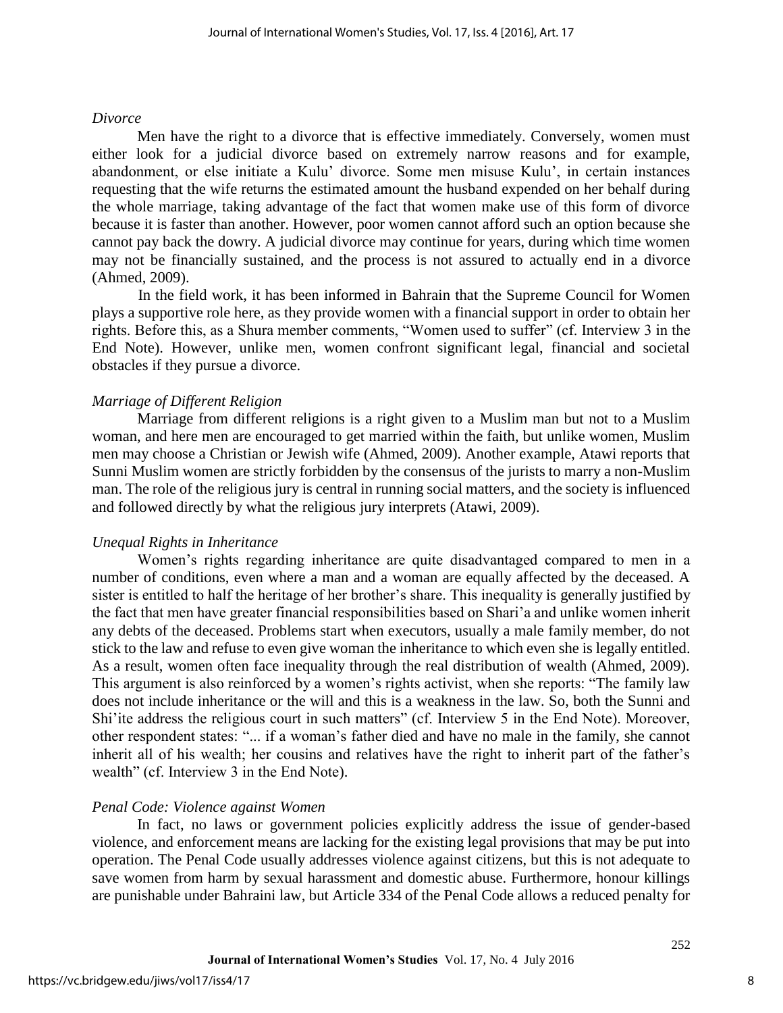#### *Divorce*

Men have the right to a divorce that is effective immediately. Conversely, women must either look for a judicial divorce based on extremely narrow reasons and for example, abandonment, or else initiate a Kulu' divorce. Some men misuse Kulu', in certain instances requesting that the wife returns the estimated amount the husband expended on her behalf during the whole marriage, taking advantage of the fact that women make use of this form of divorce because it is faster than another. However, poor women cannot afford such an option because she cannot pay back the dowry. A judicial divorce may continue for years, during which time women may not be financially sustained, and the process is not assured to actually end in a divorce (Ahmed, 2009).

In the field work, it has been informed in Bahrain that the Supreme Council for Women plays a supportive role here, as they provide women with a financial support in order to obtain her rights. Before this, as a Shura member comments, "Women used to suffer" (cf. Interview 3 in the End Note). However, unlike men, women confront significant legal, financial and societal obstacles if they pursue a divorce.

## *Marriage of Different Religion*

Marriage from different religions is a right given to a Muslim man but not to a Muslim woman, and here men are encouraged to get married within the faith, but unlike women, Muslim men may choose a Christian or Jewish wife (Ahmed, 2009). Another example, Atawi reports that Sunni Muslim women are strictly forbidden by the consensus of the jurists to marry a non-Muslim man. The role of the religious jury is central in running social matters, and the society is influenced and followed directly by what the religious jury interprets (Atawi, 2009).

#### *Unequal Rights in Inheritance*

Women's rights regarding inheritance are quite disadvantaged compared to men in a number of conditions, even where a man and a woman are equally affected by the deceased. A sister is entitled to half the heritage of her brother's share. This inequality is generally justified by the fact that men have greater financial responsibilities based on Shari'a and unlike women inherit any debts of the deceased. Problems start when executors, usually a male family member, do not stick to the law and refuse to even give woman the inheritance to which even she is legally entitled. As a result, women often face inequality through the real distribution of wealth (Ahmed, 2009). This argument is also reinforced by a women's rights activist, when she reports: "The family law does not include inheritance or the will and this is a weakness in the law. So, both the Sunni and Shi'ite address the religious court in such matters" (cf. Interview 5 in the End Note). Moreover, other respondent states: "... if a woman's father died and have no male in the family, she cannot inherit all of his wealth; her cousins and relatives have the right to inherit part of the father's wealth" (cf. Interview 3 in the End Note).

## *Penal Code: Violence against Women*

In fact, no laws or government policies explicitly address the issue of gender-based violence, and enforcement means are lacking for the existing legal provisions that may be put into operation. The Penal Code usually addresses violence against citizens, but this is not adequate to save women from harm by sexual harassment and domestic abuse. Furthermore, honour killings are punishable under Bahraini law, but Article 334 of the Penal Code allows a reduced penalty for

8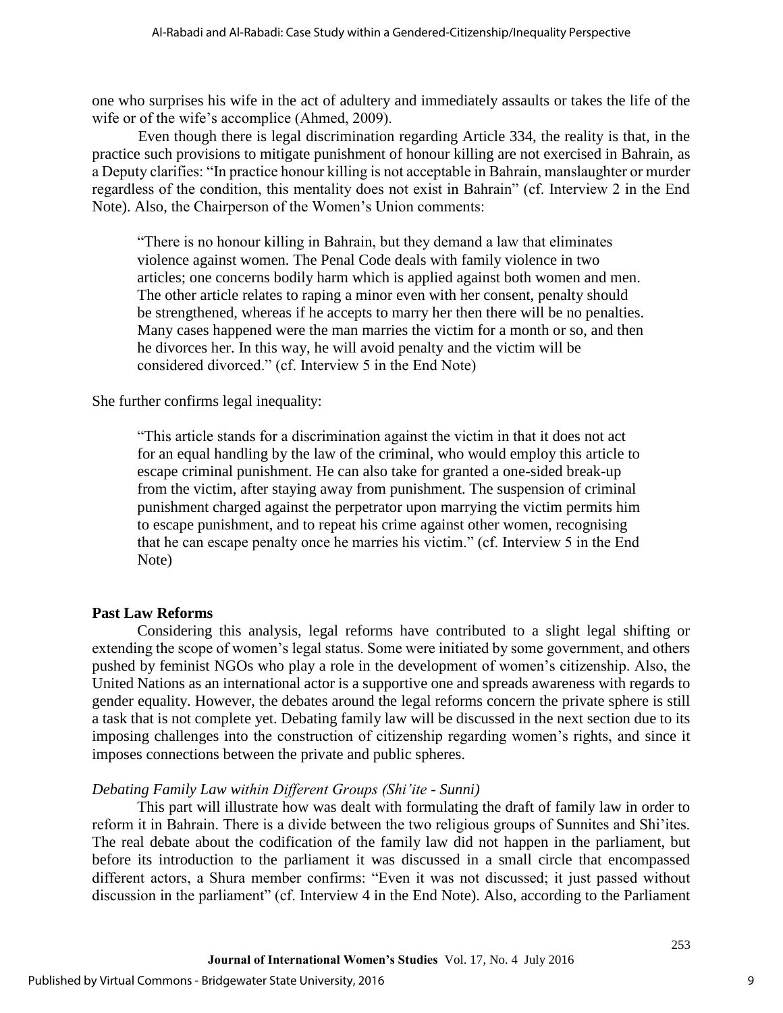one who surprises his wife in the act of adultery and immediately assaults or takes the life of the wife or of the wife's accomplice (Ahmed, 2009).

Even though there is legal discrimination regarding Article 334, the reality is that, in the practice such provisions to mitigate punishment of honour killing are not exercised in Bahrain, as a Deputy clarifies: "In practice honour killing is not acceptable in Bahrain, manslaughter or murder regardless of the condition, this mentality does not exist in Bahrain" (cf. Interview 2 in the End Note). Also, the Chairperson of the Women's Union comments:

"There is no honour killing in Bahrain, but they demand a law that eliminates violence against women. The Penal Code deals with family violence in two articles; one concerns bodily harm which is applied against both women and men. The other article relates to raping a minor even with her consent, penalty should be strengthened, whereas if he accepts to marry her then there will be no penalties. Many cases happened were the man marries the victim for a month or so, and then he divorces her. In this way, he will avoid penalty and the victim will be considered divorced." (cf. Interview 5 in the End Note)

She further confirms legal inequality:

"This article stands for a discrimination against the victim in that it does not act for an equal handling by the law of the criminal, who would employ this article to escape criminal punishment. He can also take for granted a one-sided break-up from the victim, after staying away from punishment. The suspension of criminal punishment charged against the perpetrator upon marrying the victim permits him to escape punishment, and to repeat his crime against other women, recognising that he can escape penalty once he marries his victim." (cf. Interview 5 in the End Note)

## **Past Law Reforms**

Considering this analysis, legal reforms have contributed to a slight legal shifting or extending the scope of women's legal status. Some were initiated by some government, and others pushed by feminist NGOs who play a role in the development of women's citizenship. Also, the United Nations as an international actor is a supportive one and spreads awareness with regards to gender equality. However, the debates around the legal reforms concern the private sphere is still a task that is not complete yet. Debating family law will be discussed in the next section due to its imposing challenges into the construction of citizenship regarding women's rights, and since it imposes connections between the private and public spheres.

#### *Debating Family Law within Different Groups (Shi'ite - Sunni)*

This part will illustrate how was dealt with formulating the draft of family law in order to reform it in Bahrain. There is a divide between the two religious groups of Sunnites and Shi'ites. The real debate about the codification of the family law did not happen in the parliament, but before its introduction to the parliament it was discussed in a small circle that encompassed different actors, a Shura member confirms: "Even it was not discussed; it just passed without discussion in the parliament" (cf. Interview 4 in the End Note). Also, according to the Parliament

9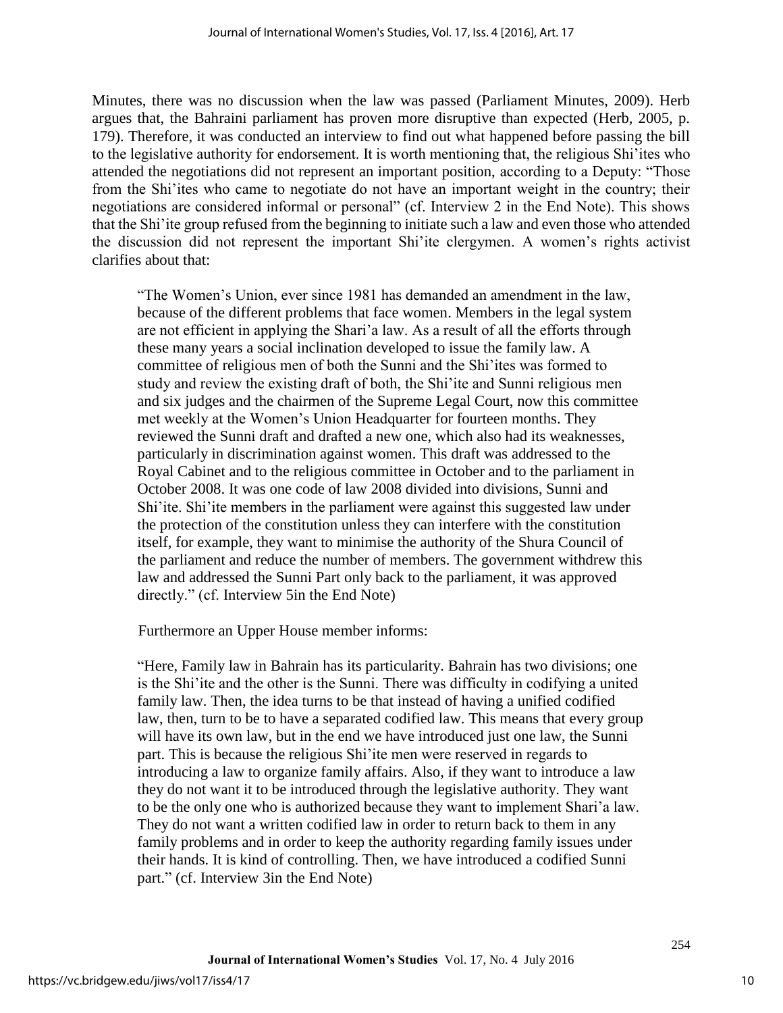Minutes, there was no discussion when the law was passed (Parliament Minutes, 2009). Herb argues that, the Bahraini parliament has proven more disruptive than expected (Herb, 2005, p. 179). Therefore, it was conducted an interview to find out what happened before passing the bill to the legislative authority for endorsement. It is worth mentioning that, the religious Shi'ites who attended the negotiations did not represent an important position, according to a Deputy: "Those from the Shi'ites who came to negotiate do not have an important weight in the country; their negotiations are considered informal or personal" (cf. Interview 2 in the End Note). This shows that the Shi'ite group refused from the beginning to initiate such a law and even those who attended the discussion did not represent the important Shi'ite clergymen. A women's rights activist clarifies about that:

"The Women's Union, ever since 1981 has demanded an amendment in the law, because of the different problems that face women. Members in the legal system are not efficient in applying the Shari'a law. As a result of all the efforts through these many years a social inclination developed to issue the family law. A committee of religious men of both the Sunni and the Shi'ites was formed to study and review the existing draft of both, the Shi'ite and Sunni religious men and six judges and the chairmen of the Supreme Legal Court, now this committee met weekly at the Women's Union Headquarter for fourteen months. They reviewed the Sunni draft and drafted a new one, which also had its weaknesses, particularly in discrimination against women. This draft was addressed to the Royal Cabinet and to the religious committee in October and to the parliament in October 2008. It was one code of law 2008 divided into divisions, Sunni and Shi'ite. Shi'ite members in the parliament were against this suggested law under the protection of the constitution unless they can interfere with the constitution itself, for example, they want to minimise the authority of the Shura Council of the parliament and reduce the number of members. The government withdrew this law and addressed the Sunni Part only back to the parliament, it was approved directly." (cf. Interview 5in the End Note)

Furthermore an Upper House member informs:

"Here, Family law in Bahrain has its particularity. Bahrain has two divisions; one is the Shi'ite and the other is the Sunni. There was difficulty in codifying a united family law. Then, the idea turns to be that instead of having a unified codified law, then, turn to be to have a separated codified law. This means that every group will have its own law, but in the end we have introduced just one law, the Sunni part. This is because the religious Shi'ite men were reserved in regards to introducing a law to organize family affairs. Also, if they want to introduce a law they do not want it to be introduced through the legislative authority. They want to be the only one who is authorized because they want to implement Shari'a law. They do not want a written codified law in order to return back to them in any family problems and in order to keep the authority regarding family issues under their hands. It is kind of controlling. Then, we have introduced a codified Sunni part." (cf. Interview 3in the End Note)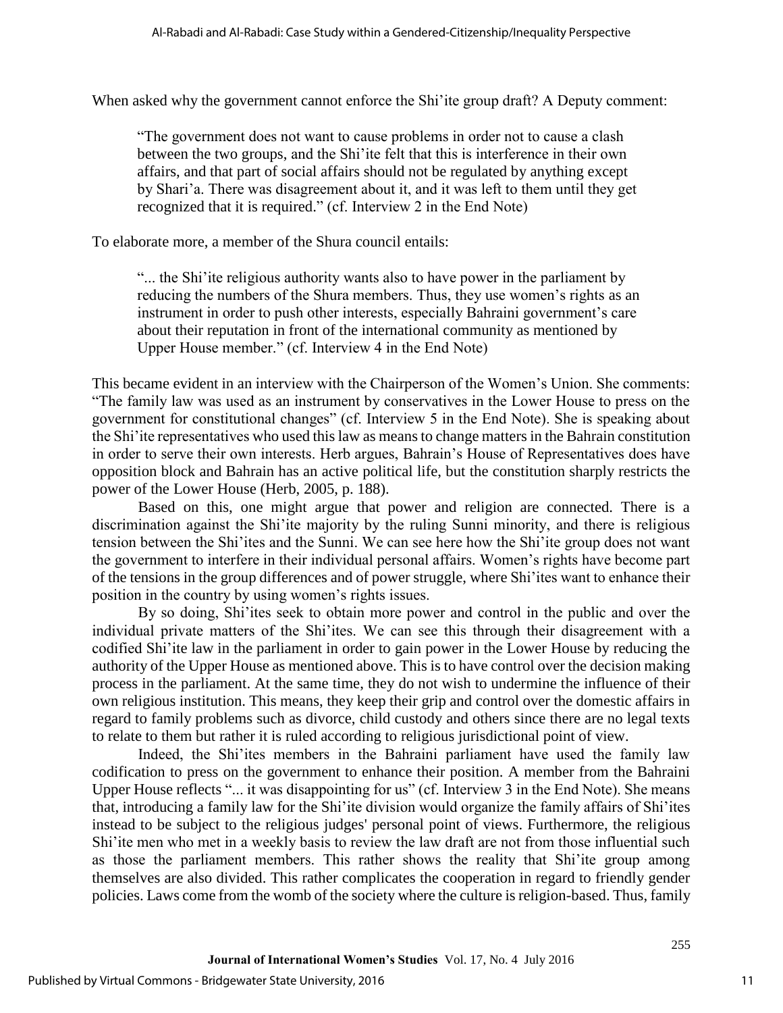When asked why the government cannot enforce the Shi'le group draft? A Deputy comment:

"The government does not want to cause problems in order not to cause a clash between the two groups, and the Shi'ite felt that this is interference in their own affairs, and that part of social affairs should not be regulated by anything except by Shari'a. There was disagreement about it, and it was left to them until they get recognized that it is required." (cf. Interview 2 in the End Note)

To elaborate more, a member of the Shura council entails:

"... the Shi'ite religious authority wants also to have power in the parliament by reducing the numbers of the Shura members. Thus, they use women's rights as an instrument in order to push other interests, especially Bahraini government's care about their reputation in front of the international community as mentioned by Upper House member." (cf. Interview 4 in the End Note)

This became evident in an interview with the Chairperson of the Women's Union. She comments: "The family law was used as an instrument by conservatives in the Lower House to press on the government for constitutional changes" (cf. Interview 5 in the End Note). She is speaking about the Shi'ite representatives who used this law as means to change matters in the Bahrain constitution in order to serve their own interests. Herb argues, Bahrain's House of Representatives does have opposition block and Bahrain has an active political life, but the constitution sharply restricts the power of the Lower House (Herb, 2005, p. 188).

Based on this, one might argue that power and religion are connected. There is a discrimination against the Shi'ite majority by the ruling Sunni minority, and there is religious tension between the Shi'ites and the Sunni. We can see here how the Shi'ite group does not want the government to interfere in their individual personal affairs. Women's rights have become part of the tensions in the group differences and of power struggle, where Shi'ites want to enhance their position in the country by using women's rights issues.

By so doing, Shi'ites seek to obtain more power and control in the public and over the individual private matters of the Shi'ites. We can see this through their disagreement with a codified Shi'ite law in the parliament in order to gain power in the Lower House by reducing the authority of the Upper House as mentioned above. This is to have control over the decision making process in the parliament. At the same time, they do not wish to undermine the influence of their own religious institution. This means, they keep their grip and control over the domestic affairs in regard to family problems such as divorce, child custody and others since there are no legal texts to relate to them but rather it is ruled according to religious jurisdictional point of view.

Indeed, the Shi'ites members in the Bahraini parliament have used the family law codification to press on the government to enhance their position. A member from the Bahraini Upper House reflects "... it was disappointing for us" (cf. Interview 3 in the End Note). She means that, introducing a family law for the Shi'ite division would organize the family affairs of Shi'ites instead to be subject to the religious judges' personal point of views. Furthermore, the religious Shi'ite men who met in a weekly basis to review the law draft are not from those influential such as those the parliament members. This rather shows the reality that Shi'ite group among themselves are also divided. This rather complicates the cooperation in regard to friendly gender policies. Laws come from the womb of the society where the culture is religion-based. Thus, family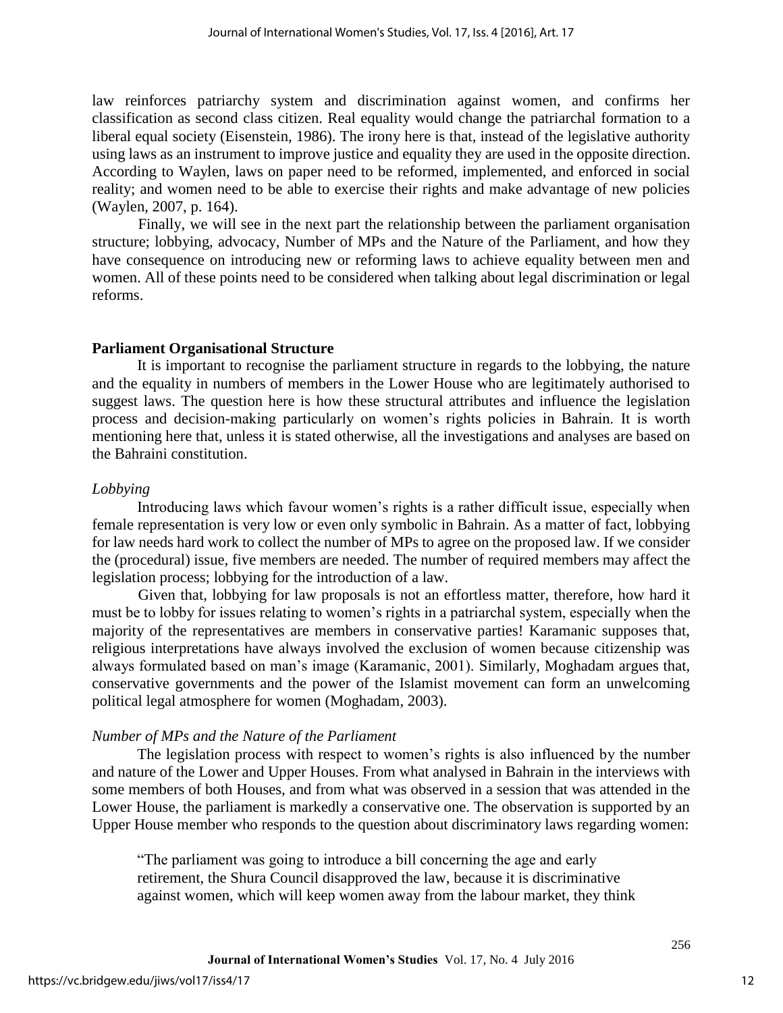law reinforces patriarchy system and discrimination against women, and confirms her classification as second class citizen. Real equality would change the patriarchal formation to a liberal equal society (Eisenstein, 1986). The irony here is that, instead of the legislative authority using laws as an instrument to improve justice and equality they are used in the opposite direction. According to Waylen, laws on paper need to be reformed, implemented, and enforced in social reality; and women need to be able to exercise their rights and make advantage of new policies (Waylen, 2007, p. 164).

Finally, we will see in the next part the relationship between the parliament organisation structure; lobbying, advocacy, Number of MPs and the Nature of the Parliament, and how they have consequence on introducing new or reforming laws to achieve equality between men and women. All of these points need to be considered when talking about legal discrimination or legal reforms.

## **Parliament Organisational Structure**

It is important to recognise the parliament structure in regards to the lobbying, the nature and the equality in numbers of members in the Lower House who are legitimately authorised to suggest laws. The question here is how these structural attributes and influence the legislation process and decision-making particularly on women's rights policies in Bahrain. It is worth mentioning here that, unless it is stated otherwise, all the investigations and analyses are based on the Bahraini constitution.

#### *Lobbying*

Introducing laws which favour women's rights is a rather difficult issue, especially when female representation is very low or even only symbolic in Bahrain. As a matter of fact, lobbying for law needs hard work to collect the number of MPs to agree on the proposed law. If we consider the (procedural) issue, five members are needed. The number of required members may affect the legislation process; lobbying for the introduction of a law.

Given that, lobbying for law proposals is not an effortless matter, therefore, how hard it must be to lobby for issues relating to women's rights in a patriarchal system, especially when the majority of the representatives are members in conservative parties! Karamanic supposes that, religious interpretations have always involved the exclusion of women because citizenship was always formulated based on man's image (Karamanic, 2001). Similarly, Moghadam argues that, conservative governments and the power of the Islamist movement can form an unwelcoming political legal atmosphere for women (Moghadam, 2003).

## *Number of MPs and the Nature of the Parliament*

The legislation process with respect to women's rights is also influenced by the number and nature of the Lower and Upper Houses. From what analysed in Bahrain in the interviews with some members of both Houses, and from what was observed in a session that was attended in the Lower House, the parliament is markedly a conservative one. The observation is supported by an Upper House member who responds to the question about discriminatory laws regarding women:

"The parliament was going to introduce a bill concerning the age and early retirement, the Shura Council disapproved the law, because it is discriminative against women, which will keep women away from the labour market, they think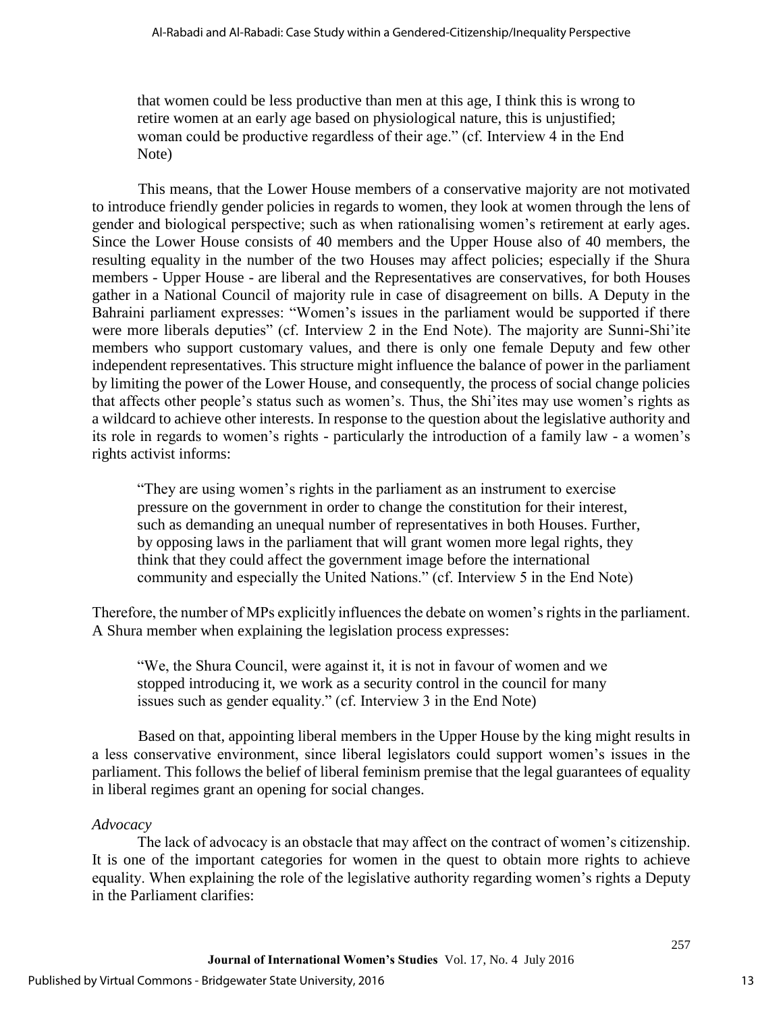that women could be less productive than men at this age, I think this is wrong to retire women at an early age based on physiological nature, this is unjustified; woman could be productive regardless of their age." (cf. Interview 4 in the End Note)

This means, that the Lower House members of a conservative majority are not motivated to introduce friendly gender policies in regards to women, they look at women through the lens of gender and biological perspective; such as when rationalising women's retirement at early ages. Since the Lower House consists of 40 members and the Upper House also of 40 members, the resulting equality in the number of the two Houses may affect policies; especially if the Shura members - Upper House - are liberal and the Representatives are conservatives, for both Houses gather in a National Council of majority rule in case of disagreement on bills. A Deputy in the Bahraini parliament expresses: "Women's issues in the parliament would be supported if there were more liberals deputies" (cf. Interview 2 in the End Note). The majority are Sunni-Shi'ite members who support customary values, and there is only one female Deputy and few other independent representatives. This structure might influence the balance of power in the parliament by limiting the power of the Lower House, and consequently, the process of social change policies that affects other people's status such as women's. Thus, the Shi'ites may use women's rights as a wildcard to achieve other interests. In response to the question about the legislative authority and its role in regards to women's rights - particularly the introduction of a family law - a women's rights activist informs:

"They are using women's rights in the parliament as an instrument to exercise pressure on the government in order to change the constitution for their interest, such as demanding an unequal number of representatives in both Houses. Further, by opposing laws in the parliament that will grant women more legal rights, they think that they could affect the government image before the international community and especially the United Nations." (cf. Interview 5 in the End Note)

Therefore, the number of MPs explicitly influences the debate on women's rights in the parliament. A Shura member when explaining the legislation process expresses:

"We, the Shura Council, were against it, it is not in favour of women and we stopped introducing it, we work as a security control in the council for many issues such as gender equality." (cf. Interview 3 in the End Note)

Based on that, appointing liberal members in the Upper House by the king might results in a less conservative environment, since liberal legislators could support women's issues in the parliament. This follows the belief of liberal feminism premise that the legal guarantees of equality in liberal regimes grant an opening for social changes.

## *Advocacy*

The lack of advocacy is an obstacle that may affect on the contract of women's citizenship. It is one of the important categories for women in the quest to obtain more rights to achieve equality. When explaining the role of the legislative authority regarding women's rights a Deputy in the Parliament clarifies: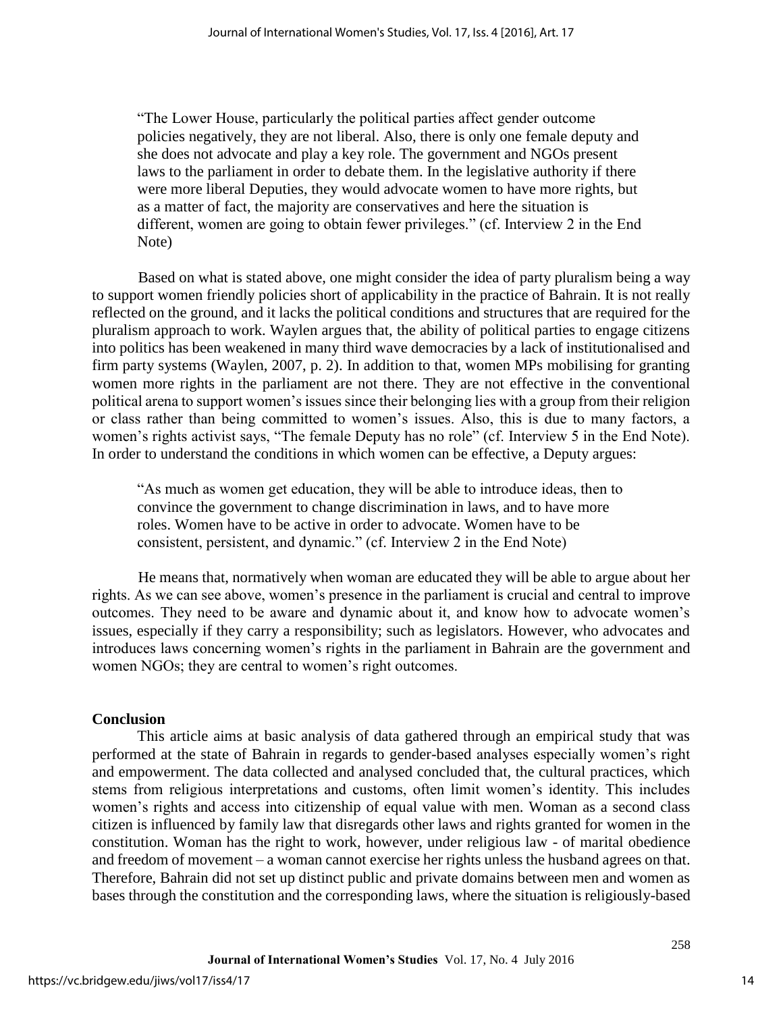"The Lower House, particularly the political parties affect gender outcome policies negatively, they are not liberal. Also, there is only one female deputy and she does not advocate and play a key role. The government and NGOs present laws to the parliament in order to debate them. In the legislative authority if there were more liberal Deputies, they would advocate women to have more rights, but as a matter of fact, the majority are conservatives and here the situation is different, women are going to obtain fewer privileges." (cf. Interview 2 in the End Note)

Based on what is stated above, one might consider the idea of party pluralism being a way to support women friendly policies short of applicability in the practice of Bahrain. It is not really reflected on the ground, and it lacks the political conditions and structures that are required for the pluralism approach to work. Waylen argues that, the ability of political parties to engage citizens into politics has been weakened in many third wave democracies by a lack of institutionalised and firm party systems (Waylen, 2007, p. 2). In addition to that, women MPs mobilising for granting women more rights in the parliament are not there. They are not effective in the conventional political arena to support women's issues since their belonging lies with a group from their religion or class rather than being committed to women's issues. Also, this is due to many factors, a women's rights activist says, "The female Deputy has no role" (cf. Interview 5 in the End Note). In order to understand the conditions in which women can be effective, a Deputy argues:

"As much as women get education, they will be able to introduce ideas, then to convince the government to change discrimination in laws, and to have more roles. Women have to be active in order to advocate. Women have to be consistent, persistent, and dynamic." (cf. Interview 2 in the End Note)

He means that, normatively when woman are educated they will be able to argue about her rights. As we can see above, women's presence in the parliament is crucial and central to improve outcomes. They need to be aware and dynamic about it, and know how to advocate women's issues, especially if they carry a responsibility; such as legislators. However, who advocates and introduces laws concerning women's rights in the parliament in Bahrain are the government and women NGOs; they are central to women's right outcomes.

## **Conclusion**

This article aims at basic analysis of data gathered through an empirical study that was performed at the state of Bahrain in regards to gender-based analyses especially women's right and empowerment. The data collected and analysed concluded that, the cultural practices, which stems from religious interpretations and customs, often limit women's identity. This includes women's rights and access into citizenship of equal value with men. Woman as a second class citizen is influenced by family law that disregards other laws and rights granted for women in the constitution. Woman has the right to work, however, under religious law - of marital obedience and freedom of movement – a woman cannot exercise her rights unless the husband agrees on that. Therefore, Bahrain did not set up distinct public and private domains between men and women as bases through the constitution and the corresponding laws, where the situation is religiously-based

14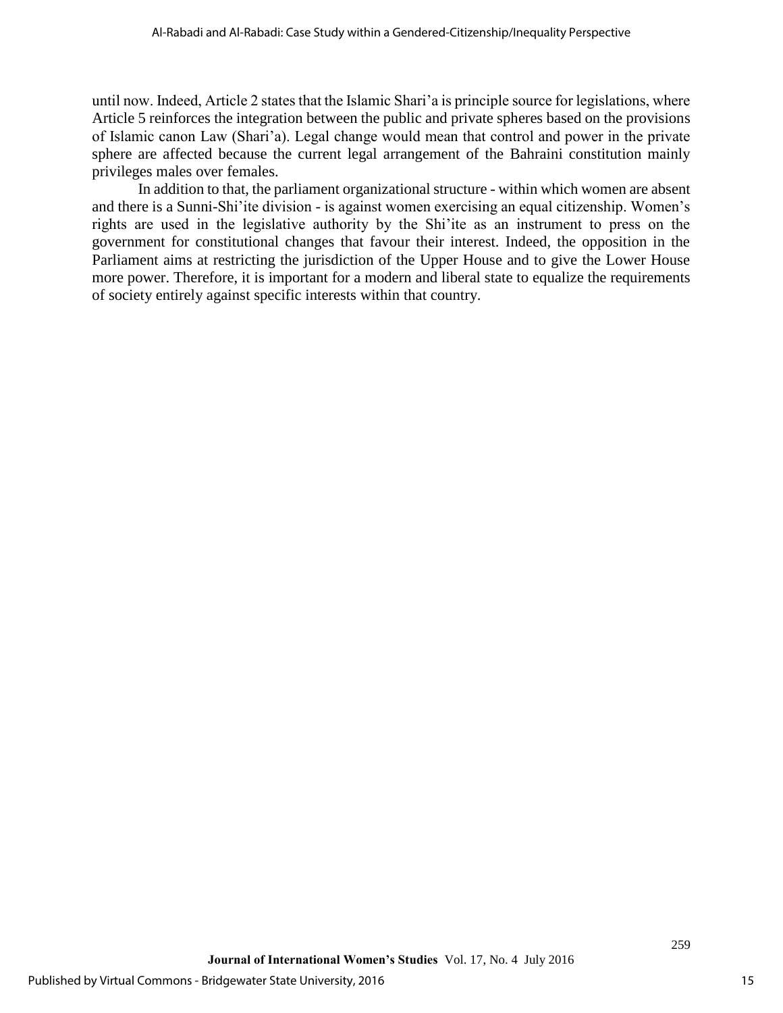until now. Indeed, Article 2 states that the Islamic Shari'a is principle source for legislations, where Article 5 reinforces the integration between the public and private spheres based on the provisions of Islamic canon Law (Shari'a). Legal change would mean that control and power in the private sphere are affected because the current legal arrangement of the Bahraini constitution mainly privileges males over females.

In addition to that, the parliament organizational structure - within which women are absent and there is a Sunni-Shi'ite division - is against women exercising an equal citizenship. Women's rights are used in the legislative authority by the Shi'ite as an instrument to press on the government for constitutional changes that favour their interest. Indeed, the opposition in the Parliament aims at restricting the jurisdiction of the Upper House and to give the Lower House more power. Therefore, it is important for a modern and liberal state to equalize the requirements of society entirely against specific interests within that country.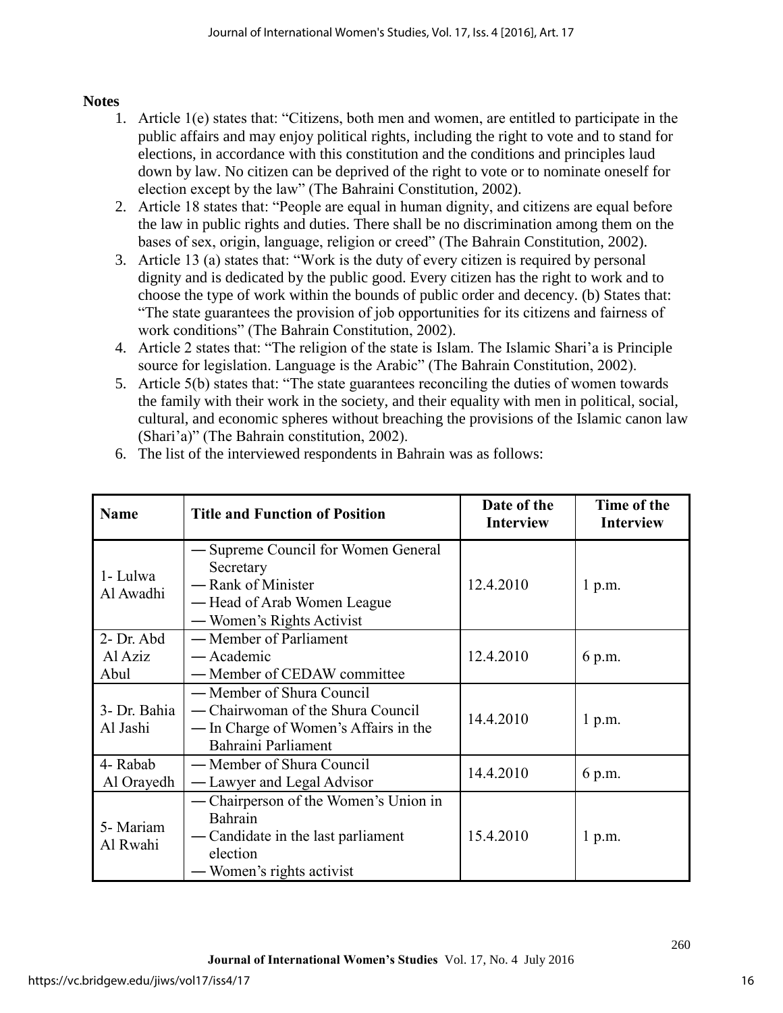## **Notes**

- 1. Article 1(e) states that: "Citizens, both men and women, are entitled to participate in the public affairs and may enjoy political rights, including the right to vote and to stand for elections, in accordance with this constitution and the conditions and principles laud down by law. No citizen can be deprived of the right to vote or to nominate oneself for election except by the law" (The Bahraini Constitution, 2002).
- 2. Article 18 states that: "People are equal in human dignity, and citizens are equal before the law in public rights and duties. There shall be no discrimination among them on the bases of sex, origin, language, religion or creed" (The Bahrain Constitution, 2002).
- 3. Article 13 (a) states that: "Work is the duty of every citizen is required by personal dignity and is dedicated by the public good. Every citizen has the right to work and to choose the type of work within the bounds of public order and decency. (b) States that: "The state guarantees the provision of job opportunities for its citizens and fairness of work conditions" (The Bahrain Constitution, 2002).
- 4. Article 2 states that: "The religion of the state is Islam. The Islamic Shari'a is Principle source for legislation. Language is the Arabic" (The Bahrain Constitution, 2002).
- 5. Article 5(b) states that: "The state guarantees reconciling the duties of women towards the family with their work in the society, and their equality with men in political, social, cultural, and economic spheres without breaching the provisions of the Islamic canon law (Shari'a)" (The Bahrain constitution, 2002).

| <b>Name</b>                      | <b>Title and Function of Position</b>                                                                                             | Date of the<br><b>Interview</b> | Time of the<br><b>Interview</b> |
|----------------------------------|-----------------------------------------------------------------------------------------------------------------------------------|---------------------------------|---------------------------------|
| 1- Lulwa<br>Al Awadhi            | — Supreme Council for Women General<br>Secretary<br>-Rank of Minister<br>— Head of Arab Women League<br>— Women's Rights Activist | 12.4.2010                       | 1 p.m.                          |
| $2$ - Dr. Abd<br>Al Aziz<br>Abul | — Member of Parliament<br>— Academic<br>— Member of CEDAW committee                                                               | 12.4.2010                       | 6 p.m.                          |
| 3- Dr. Bahia<br>Al Jashi         | — Member of Shura Council<br>— Chairwoman of the Shura Council<br>— In Charge of Women's Affairs in the<br>Bahraini Parliament    | 14.4.2010                       | $1$ p.m.                        |
| 4- Rabab<br>Al Orayedh           | — Member of Shura Council<br>-Lawyer and Legal Advisor                                                                            | 14.4.2010                       | 6 p.m.                          |
| 5- Mariam<br>Al Rwahi            | Chairperson of the Women's Union in<br>Bahrain<br>Candidate in the last parliament<br>election<br>— Women's rights activist       | 15.4.2010                       | 1 p.m.                          |

6. The list of the interviewed respondents in Bahrain was as follows: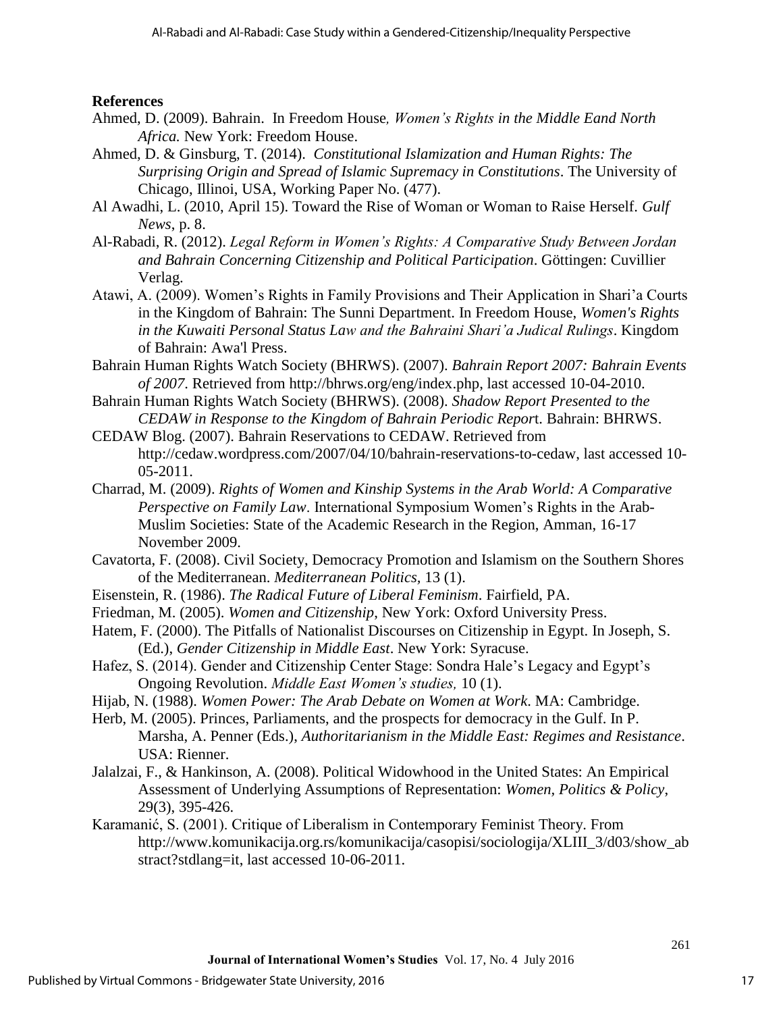## **References**

- Ahmed, D. (2009). Bahrain. In Freedom House*, Women's Rights in the Middle Eand North Africa.* New York: Freedom House.
- Ahmed, D. & Ginsburg, T. (2014). *Constitutional Islamization and Human Rights: The Surprising Origin and Spread of Islamic Supremacy in Constitutions*. The University of Chicago, Illinoi, USA, Working Paper No. (477).
- Al Awadhi, L. (2010, April 15). Toward the Rise of Woman or Woman to Raise Herself. *Gulf News*, p. 8.
- Al-Rabadi, R. (2012). *Legal Reform in Women's Rights: A Comparative Study Between Jordan and Bahrain Concerning Citizenship and Political Participation*. Göttingen: Cuvillier Verlag.
- Atawi, A. (2009). Women's Rights in Family Provisions and Their Application in Shari'a Courts in the Kingdom of Bahrain: The Sunni Department. In Freedom House, *Women's Rights in the Kuwaiti Personal Status Law and the Bahraini Shari'a Judical Rulings*. Kingdom of Bahrain: Awa'l Press.
- Bahrain Human Rights Watch Society (BHRWS). (2007). *Bahrain Report 2007: Bahrain Events of 2007*. Retrieved from http://bhrws.org/eng/index.php, last accessed 10-04-2010.
- Bahrain Human Rights Watch Society (BHRWS). (2008). *Shadow Report Presented to the CEDAW in Response to the Kingdom of Bahrain Periodic Repor*t. Bahrain: BHRWS.
- CEDAW Blog. (2007). Bahrain Reservations to CEDAW. Retrieved from http://cedaw.wordpress.com/2007/04/10/bahrain-reservations-to-cedaw, last accessed 10- 05-2011.
- Charrad, M. (2009). *Rights of Women and Kinship Systems in the Arab World: A Comparative Perspective on Family Law*. International Symposium Women's Rights in the Arab-Muslim Societies: State of the Academic Research in the Region, Amman, 16-17 November 2009.
- Cavatorta, F. (2008). Civil Society, Democracy Promotion and Islamism on the Southern Shores of the Mediterranean. *Mediterranean Politics,* 13 (1).
- Eisenstein, R. (1986). *The Radical Future of Liberal Feminism*. Fairfield, PA.
- Friedman, M. (2005). *Women and Citizenship*, New York: Oxford University Press.
- Hatem, F. (2000). The Pitfalls of Nationalist Discourses on Citizenship in Egypt. In Joseph, S. (Ed.), *Gender Citizenship in Middle East*. New York: Syracuse.
- Hafez, S. (2014). Gender and Citizenship Center Stage: Sondra Hale's Legacy and Egypt's Ongoing Revolution. *Middle East Women's studies,* 10 (1).
- Hijab, N. (1988). *Women Power: The Arab Debate on Women at Work*. MA: Cambridge.
- Herb, M. (2005). Princes, Parliaments, and the prospects for democracy in the Gulf. In P. Marsha, A. Penner (Eds.), *Authoritarianism in the Middle East: Regimes and Resistance*. USA: Rienner.
- Jalalzai, F., & Hankinson, A. (2008). Political Widowhood in the United States: An Empirical Assessment of Underlying Assumptions of Representation: *Women, Politics & Policy*, 29(3), 395-426.
- Karamanić, S. (2001). Critique of Liberalism in Contemporary Feminist Theory. From http://www.komunikacija.org.rs/komunikacija/casopisi/sociologija/XLIII\_3/d03/show\_ab stract?stdlang=it, last accessed 10-06-2011.